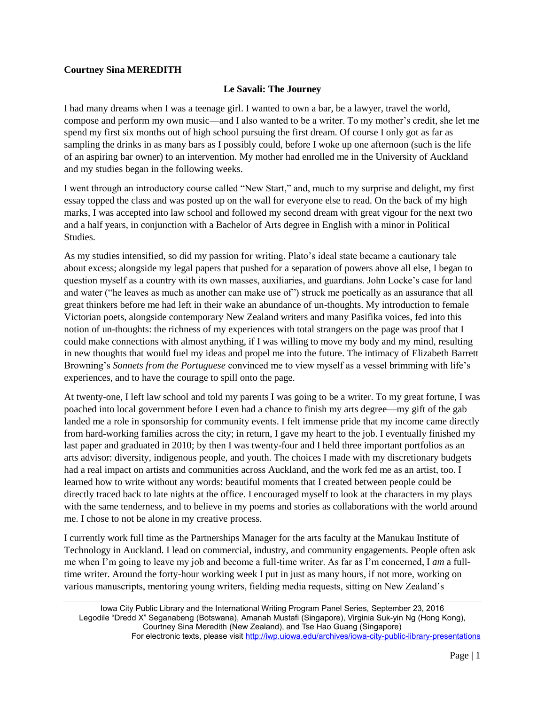## **Courtney Sina MEREDITH**

## **Le Savali: The Journey**

I had many dreams when I was a teenage girl. I wanted to own a bar, be a lawyer, travel the world, compose and perform my own music—and I also wanted to be a writer. To my mother's credit, she let me spend my first six months out of high school pursuing the first dream. Of course I only got as far as sampling the drinks in as many bars as I possibly could, before I woke up one afternoon (such is the life of an aspiring bar owner) to an intervention. My mother had enrolled me in the University of Auckland and my studies began in the following weeks.

I went through an introductory course called "New Start," and, much to my surprise and delight, my first essay topped the class and was posted up on the wall for everyone else to read. On the back of my high marks, I was accepted into law school and followed my second dream with great vigour for the next two and a half years, in conjunction with a Bachelor of Arts degree in English with a minor in Political Studies.

As my studies intensified, so did my passion for writing. Plato's ideal state became a cautionary tale about excess; alongside my legal papers that pushed for a separation of powers above all else, I began to question myself as a country with its own masses, auxiliaries, and guardians. John Locke's case for land and water ("he leaves as much as another can make use of") struck me poetically as an assurance that all great thinkers before me had left in their wake an abundance of un-thoughts. My introduction to female Victorian poets, alongside contemporary New Zealand writers and many Pasifika voices, fed into this notion of un-thoughts: the richness of my experiences with total strangers on the page was proof that I could make connections with almost anything, if I was willing to move my body and my mind, resulting in new thoughts that would fuel my ideas and propel me into the future. The intimacy of Elizabeth Barrett Browning's *Sonnets from the Portuguese* convinced me to view myself as a vessel brimming with life's experiences, and to have the courage to spill onto the page.

At twenty-one, I left law school and told my parents I was going to be a writer. To my great fortune, I was poached into local government before I even had a chance to finish my arts degree—my gift of the gab landed me a role in sponsorship for community events. I felt immense pride that my income came directly from hard-working families across the city; in return, I gave my heart to the job. I eventually finished my last paper and graduated in 2010; by then I was twenty-four and I held three important portfolios as an arts advisor: diversity, indigenous people, and youth. The choices I made with my discretionary budgets had a real impact on artists and communities across Auckland, and the work fed me as an artist, too. I learned how to write without any words: beautiful moments that I created between people could be directly traced back to late nights at the office. I encouraged myself to look at the characters in my plays with the same tenderness, and to believe in my poems and stories as collaborations with the world around me. I chose to not be alone in my creative process.

I currently work full time as the Partnerships Manager for the arts faculty at the Manukau Institute of Technology in Auckland. I lead on commercial, industry, and community engagements. People often ask me when I'm going to leave my job and become a full-time writer. As far as I'm concerned, I *am* a fulltime writer. Around the forty-hour working week I put in just as many hours, if not more, working on various manuscripts, mentoring young writers, fielding media requests, sitting on New Zealand's

Iowa City Public Library and the International Writing Program Panel Series, September 23, 2016 Legodile "Dredd X" Seganabeng (Botswana), Amanah Mustafi (Singapore), Virginia Suk-yin Ng (Hong Kong), Courtney Sina Meredith (New Zealand), and Tse Hao Guang (Singapore) For electronic texts, please visit<http://iwp.uiowa.edu/archives/iowa-city-public-library-presentations>